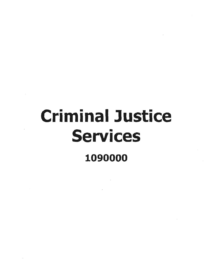# Criminal Justice Services 1090000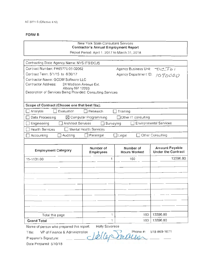#### New York State Consultant Services **Contractor's Annual Employment Report**

Report Period: April 1, 2017 to March 31 , 2018

| Contracting State Agency Name: NYS ITS/DCJS                                    |                               |                              |                               |
|--------------------------------------------------------------------------------|-------------------------------|------------------------------|-------------------------------|
| Contract Number: PH65771 03-02062                                              |                               | <b>Agency Business Unit:</b> | PCT01                         |
| Contract Term: 5/1/15 to 6/30/17                                               |                               | Agency Department ID:        | 1090000                       |
| Contractor Name: GCOM Software LLC                                             |                               |                              |                               |
| Contractor Address:<br>24 Madison Avenue Ext.                                  |                               |                              |                               |
| Albany NY 12203<br>Description of Services Being Provided: Consulting Services |                               |                              |                               |
|                                                                                |                               |                              |                               |
|                                                                                |                               |                              |                               |
| Scope of Contract (Choose one that best fits):                                 |                               |                              |                               |
| Evaluation<br>Analysis                                                         | Research                      | Training                     |                               |
| Data Processing                                                                | ⊠ Computer Programming        | □ Other IT consulting        |                               |
| <b>Architect Services</b><br>Engineering                                       | Surveying                     |                              | <b>Environmental Services</b> |
| <b>Health Services</b>                                                         | <b>Mental Health Services</b> |                              |                               |
| Auditing<br>Accounting                                                         | $\Box$ Paralegal              | $\Box$ Legal                 | Other Consulting              |
|                                                                                |                               |                              |                               |
| <b>Employment Category</b>                                                     | Number of                     | Number of                    | <b>Amount Payable</b>         |
|                                                                                | <b>Employees</b>              | <b>Hours Worked</b>          | <b>Under the Contract</b>     |
| 15-1131.00                                                                     | 1                             | 160                          | 13396.80                      |
|                                                                                |                               |                              |                               |
|                                                                                |                               |                              |                               |
|                                                                                |                               |                              |                               |
|                                                                                |                               |                              |                               |
|                                                                                |                               |                              |                               |
|                                                                                |                               |                              |                               |
|                                                                                |                               |                              |                               |
|                                                                                |                               |                              |                               |
|                                                                                |                               |                              |                               |
|                                                                                |                               |                              |                               |
| Total this page                                                                | 1                             | 160                          | 13396.80                      |
| <b>Grand Total</b>                                                             | 1                             | 160                          | 13396.80                      |

Title: VP of Finance & Administration  $\sqrt{1/(1-\epsilon)}$  Phone #:

518-869-1671

Preparer's Signature: Gfl!J..~~~ ...

Date Prepared: 5/10/18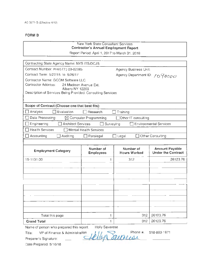### New York State Consultant Services **Contractor's Annual Employment Report**

Report Period: April 1, 2017 to March 31 , 2018

| Contracting State Agency Name: NYS ITS/DCJS                                    |                                  |                                  |                                                    |
|--------------------------------------------------------------------------------|----------------------------------|----------------------------------|----------------------------------------------------|
| Contract Number: PH65771 03-02385                                              |                                  | <b>Agency Business Unit:</b>     |                                                    |
| Contract Term: 5/27/15 to 5/26/17                                              |                                  | Agency Department ID: 1090000    |                                                    |
| Contractor Name: GCOM Software LLC                                             |                                  |                                  |                                                    |
| Contractor Address:                                                            | 24 Madison Avenue Ext.           |                                  |                                                    |
| Albany NY 12203<br>Description of Services Being Provided: Consulting Services |                                  |                                  |                                                    |
|                                                                                |                                  |                                  |                                                    |
|                                                                                |                                  |                                  |                                                    |
| Scope of Contract (Choose one that best fits):                                 |                                  |                                  |                                                    |
| Analysis<br>Evaluation                                                         | Research                         | Training                         |                                                    |
| Data Processing                                                                | $\boxtimes$ Computer Programming | Other IT consulting              |                                                    |
| Engineering<br>Architect Services                                              |                                  | Surveying                        | <b>Environmental Services</b>                      |
| <b>Health Services</b>                                                         | <b>Mental Health Services</b>    |                                  |                                                    |
| Accounting<br>Auditing                                                         | Paralegal                        | $\Box$ Legal                     | □ Other Consulting                                 |
|                                                                                |                                  |                                  |                                                    |
| <b>Employment Category</b>                                                     | Number of<br><b>Employees</b>    | Number of<br><b>Hours Worked</b> | <b>Amount Payable</b><br><b>Under the Contract</b> |
| 15-1131.00                                                                     | 1.                               | 312                              | 26123.76                                           |
|                                                                                |                                  |                                  |                                                    |
|                                                                                |                                  |                                  |                                                    |
|                                                                                |                                  |                                  |                                                    |
|                                                                                |                                  |                                  |                                                    |
|                                                                                |                                  |                                  |                                                    |
|                                                                                |                                  |                                  |                                                    |
|                                                                                |                                  |                                  |                                                    |
|                                                                                |                                  |                                  |                                                    |
|                                                                                |                                  |                                  |                                                    |
| Total this page                                                                | 1                                | 312                              | 26123.76                                           |
| <b>Grand Total</b>                                                             | 1                                | 312                              | 26123.76                                           |

Name of person who prepared this report: Holly Savarese<br>Title: VP of Finance & Administration<br> $\frac{1}{2}$ 

Phone #: 518-869-1671

Preparer's Signature: · ~n~

Date Prepared: 5/10/18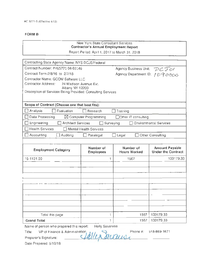#### New York State Consultant Services **Contractor's Annual Employment Report**

Report Period: April 1, 2017 to March 31, 2018

| Contracting State Agency Name: NYS DCJS/Federal                                |                                  |                               |                               |
|--------------------------------------------------------------------------------|----------------------------------|-------------------------------|-------------------------------|
| Contract Number: PH65771 04-03146                                              |                                  | Agency Business Unit:         | DCTOI                         |
| Contract Term: 2/8/16 to 2/7/18                                                |                                  | Agency Department ID: 1090000 |                               |
| Contractor Name: GCOM Software LLC                                             |                                  |                               |                               |
| Contractor Address:<br>24 Madison Avenue Ext.                                  |                                  |                               |                               |
| Albany NY 12203<br>Description of Services Being Provided: Consulting Services |                                  |                               |                               |
|                                                                                |                                  |                               |                               |
|                                                                                |                                  |                               |                               |
| Scope of Contract (Choose one that best fits):                                 |                                  |                               |                               |
| Analysis<br>Evaluation                                                         | Research                         | Training                      |                               |
| Data Processing                                                                | $\boxtimes$ Computer Programming | <b>Other IT consulting</b>    |                               |
| <b>Architect Services</b><br>Engineering                                       | Surveying                        |                               | <b>Environmental Services</b> |
| <b>Health Services</b>                                                         | <b>Mental Health Services</b>    |                               |                               |
| Accounting<br>Auditing                                                         | Paralegal                        | Legal                         | Other Consulting              |
|                                                                                |                                  |                               |                               |
|                                                                                | Number of                        | Number of                     | <b>Amount Payable</b>         |
| <b>Employment Category</b>                                                     | <b>Employees</b>                 | <b>Hours Worked</b>           | <b>Under the Contract</b>     |
| 15-1131.00                                                                     | 1                                | 1567                          | 133179.33                     |
|                                                                                |                                  |                               |                               |
|                                                                                |                                  |                               |                               |
|                                                                                |                                  |                               |                               |
|                                                                                |                                  |                               |                               |
|                                                                                |                                  |                               |                               |
|                                                                                |                                  |                               |                               |
|                                                                                |                                  |                               |                               |
|                                                                                |                                  |                               |                               |
|                                                                                |                                  |                               |                               |
| Total this page                                                                | 1                                | 1567                          | 133179.33                     |
| <b>Grand Total</b>                                                             | 1                                | 1567                          | 133179.33                     |
| Name of person who prepared this report:                                       | Holly Savarese                   |                               |                               |
| VP of Finance & Administration,<br>Title:                                      |                                  | Phone #:                      | 518-869-1671                  |
|                                                                                | 111.                             |                               |                               |

Preparer's Signature: Lt~-4..

Date Prepared: 5/10/18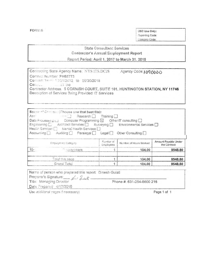**FORM S** 

OSC Use Only: Reporting Code: Category Code:

## **State Consultant Services** Contractor's Annual Employment Report

Report Period: April 1, 2017 to March 31, 2018

| Contracting State Agency Name: NYS ITS.DCJS                                  | Agency Code: 1090000 |
|------------------------------------------------------------------------------|----------------------|
| Contract Number: PH65773                                                     |                      |
| Contract Term 10/01/2012 to 09/30/2018                                       |                      |
| $Con_{n+1}$ at the                                                           |                      |
| Contractor Address. 6 CORNISH COURT, SUITE 101, HUNTINGTON STATION, NY 11746 |                      |
| Description of Services Baing Provided: IT Services                          |                      |
|                                                                              |                      |

| $Arr \varepsilon$ | Scope of Canada: (Choose one that best fits):<br><b>Example 2</b> Research <b>Training</b><br>Data Frocessing $f_{\text{L}}$ Computer Programming $\boxtimes$ Other IT consulting $\Box$<br>Health Services [7] Mental Health Services [7]<br>Accounting   Auditing   Paralegal   Legal   Other Consulting |                        |                        |                                      |
|-------------------|------------------------------------------------------------------------------------------------------------------------------------------------------------------------------------------------------------------------------------------------------------------------------------------------------------|------------------------|------------------------|--------------------------------------|
|                   | Employmers Category                                                                                                                                                                                                                                                                                        | Number of<br>Employees | Number of Hours Worked | Amount Payable Under<br>the Contract |
| $15 -$            | <sup>3</sup> corammers                                                                                                                                                                                                                                                                                     |                        | 104.00                 | 8548.80                              |
|                   | Total this page                                                                                                                                                                                                                                                                                            |                        | 104.00                 | 8548.80                              |
|                   | Grand Total                                                                                                                                                                                                                                                                                                |                        | 104.00                 | 8548.80                              |

| Name of person who prepared this report: Dinesh Gulati |                           |  |
|--------------------------------------------------------|---------------------------|--|
| Preparer's Signature: Art Little                       |                           |  |
| Title: Managing Director                               | Phone #: 631-254-8600 215 |  |
| Date Prepared: 4/17/2018                               |                           |  |
|                                                        |                           |  |

Use additional nages if necessary)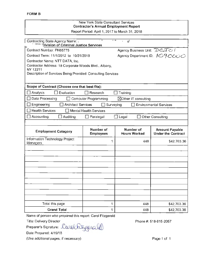#### New York State Consultant Services **Contractor's Annual Employment Report**  Report Period: April 1, 2017 to March 31, 2018

| Contracting State Agency Name:<br>Division of Criminal Justice Services |                               | sI.                              |                                                    |
|-------------------------------------------------------------------------|-------------------------------|----------------------------------|----------------------------------------------------|
| Contract Number: PH65775                                                |                               | Agency Business Unit: DCJCI      |                                                    |
| Contract Term: 11/1/2012 to 10/31/2018                                  |                               |                                  | Agency Department ID: 1090000                      |
| Contractor Name: NTT DATA, Inc.                                         |                               |                                  |                                                    |
| Contractor Address: 18 Corporate Woods Blvd., Albany,                   |                               |                                  |                                                    |
| NY 12211<br>Description of Services Being Provided: Consulting Services |                               |                                  |                                                    |
|                                                                         |                               |                                  |                                                    |
|                                                                         |                               |                                  |                                                    |
| Scope of Contract (Choose one that best fits):                          |                               |                                  |                                                    |
| Evaluation<br>Analysis                                                  | Research                      | Training                         |                                                    |
| Data Processing                                                         | Computer Programming          | ⊠Other IT consulting             |                                                    |
| <b>Architect Services</b><br>Engineering                                | $\Box$ Surveying              |                                  | <b>Environmental Services</b>                      |
| <b>Health Services</b>                                                  | Mental Health Services        |                                  |                                                    |
| Accounting<br>Auditing                                                  | Paralegal                     | Legal                            | <b>Other Consulting</b>                            |
|                                                                         |                               |                                  |                                                    |
| <b>Employment Category</b>                                              | Number of<br><b>Employees</b> | Number of<br><b>Hours Worked</b> | <b>Amount Payable</b><br><b>Under the Contract</b> |
| Information Technology Project<br>Managers                              | 1                             | 448                              | \$42,703.36                                        |
|                                                                         |                               |                                  |                                                    |
|                                                                         |                               |                                  |                                                    |
|                                                                         |                               |                                  |                                                    |
|                                                                         |                               |                                  |                                                    |
|                                                                         |                               |                                  |                                                    |
|                                                                         |                               |                                  |                                                    |
|                                                                         |                               |                                  |                                                    |
|                                                                         |                               |                                  |                                                    |
|                                                                         |                               |                                  |                                                    |
|                                                                         |                               |                                  |                                                    |
| Total this page                                                         | 1                             | 448                              | \$42,703.36                                        |
| <b>Grand Total</b>                                                      | 1                             | 448                              | \$42,703.36                                        |

Name of person who prepared this report: Carol Fitzgerald

Title: Delivery Director

Preparer's Signature: Carol httpgerald

Date Prepared: 4/19/18

(Use additional pages, if necessary)

Phone#: 518-815-2057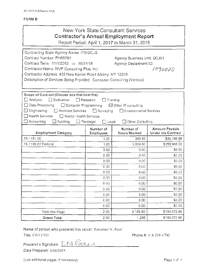| New York State Consultant Services    |
|---------------------------------------|
| Contractor's Annual Employment Report |

Report Period: April 1, 2017 to March 31, 2018

| Contracting State Agency Name: ITS/DCJS                               |                                  |                                 |                                             |
|-----------------------------------------------------------------------|----------------------------------|---------------------------------|---------------------------------------------|
| Contract Number: PH65780                                              |                                  | Agency Business Unit: DCJ01     |                                             |
| Contract Term: 11/1/2012 to 10/31/18                                  |                                  | Agency Department ID:           |                                             |
| Contractor Name: MVP Consulting Plus, Inc.                            |                                  |                                 | 1090000                                     |
| Contractor Address: 435 New Karner Road Albany, NY 12205              |                                  |                                 |                                             |
| Description of Services Being Provided: Computer Consulting (Various) |                                  |                                 |                                             |
|                                                                       |                                  |                                 |                                             |
|                                                                       |                                  |                                 |                                             |
| Scope of Contract (Choose one that best fits):                        |                                  |                                 |                                             |
| $\Box$ Evaluation<br>$\Box$ Analysis                                  | Research                         | Training                        |                                             |
| □ Data Processing<br>□ Computer Programming                           |                                  | $\boxtimes$ Other IT consulting |                                             |
| Architect Services<br>$\Box$ Engineering                              | $\Box$ Surveying                 | Environmental Services          |                                             |
| $\Box$ Health Services<br>Mental Health Services                      |                                  |                                 |                                             |
| Accounting<br>Auditing                                                | $\Box$ Paralegal<br>$\Box$ Legal | Other Consulting                |                                             |
| <b>Employment Category</b>                                            | Number of<br>Employees           | Number of<br>Hours Worked       | Amount Payable<br><b>Under the Contract</b> |
| 15-1151.00                                                            | 1.00                             | 348.80                          | \$30,166.88                                 |
| 15-1199.02 Federal                                                    | 1.00                             | 1,838.00                        | \$159,906.00                                |
|                                                                       | 0.00                             | 0.00                            | \$0.00                                      |
|                                                                       | 0.00                             | 0.00                            | \$0.00                                      |
|                                                                       | 0.00.                            | 0.00                            | \$0.00                                      |
|                                                                       | 0.00                             | 0.00                            | \$0.00                                      |
|                                                                       | 0.00                             | 0.00                            | \$0.00                                      |
|                                                                       | 0.00                             | 0.00                            | \$0.00                                      |
|                                                                       | 0.00                             | 0.00                            | \$0.00                                      |
|                                                                       | 0.00                             | 0.00                            | \$0.00                                      |
|                                                                       | 0.00                             | 0.00                            | \$0.00                                      |
|                                                                       | 0.00                             | 0.00                            | \$0.00                                      |
|                                                                       | 0.00                             | 0.00                            | \$0.00                                      |
| Total this Page                                                       | 2.00                             | 2.186.80                        | \$190,072.88                                |
| <b>Grand Total</b>                                                    | 2.00                             | 1,286                           | \$190,072.88                                |

Name of person who prepared this report: Ilakumari N. Patel

Title: CEO CFO **Phone #: 518-218-1700** 

Preparer's Signature: LN Pate Date Prepared: 4/16/2018

(Use additional pages, if necessary) example that the example of the Page 1 of 1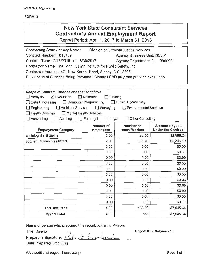# New York State Consultant Services **Contractor's Annual Employment Report**

Report Period: April 1, 2017 to March 31, 2018

| Contracting State Agency Name:<br>Contract Number: T015139<br>Contract Term: 2/15/2016 to 6/30/2017<br>Contractor Name: The John F. Finn Institute for Public Safety, Inc.<br>Contractor Address: 421 New Karner Road, Albany, NY 12205<br>Description of Services Being Provided: Albany LEAD program process evaluation |                                                      | Division of Criminal Justice Services<br>Agency Business Unit: DCJ01<br>Agency Department ID: 1090000 |                                                    |
|---------------------------------------------------------------------------------------------------------------------------------------------------------------------------------------------------------------------------------------------------------------------------------------------------------------------------|------------------------------------------------------|-------------------------------------------------------------------------------------------------------|----------------------------------------------------|
| Scope of Contract (Choose one that best fits):<br>$\boxtimes$ Evaluation<br>$\Box$ Analysis<br>Data Processing<br>$\Box$ Computer Programming                                                                                                                                                                             | $\Box$ Research<br>ΙI                                | Training<br>Other IT consulting                                                                       |                                                    |
| Engineering<br><b>Architect Services</b><br><b>Health Services</b><br>Mental Health Services<br>Accounting<br>Auditing                                                                                                                                                                                                    | $\Box$ Surveying<br>$\Box$ Paralegal<br>$\Box$ Legal | $\Box$ Environmental Services<br><b>Other Consulting</b>                                              |                                                    |
| <b>Employment Category</b>                                                                                                                                                                                                                                                                                                | Number of<br><b>Employees</b>                        | Number of<br><b>Hours Worked</b>                                                                      | <b>Amount Payable</b><br><b>Under the Contract</b> |
| sociologist (19-3041)                                                                                                                                                                                                                                                                                                     | 2.00                                                 | 32.00                                                                                                 | \$2,699.24                                         |
| soc. sci. research assistant                                                                                                                                                                                                                                                                                              | 2.00                                                 | 136.70                                                                                                | \$5,246.10                                         |
|                                                                                                                                                                                                                                                                                                                           | 0.00                                                 | 0.00                                                                                                  | \$0.00                                             |
|                                                                                                                                                                                                                                                                                                                           | 0.00                                                 | 0.00                                                                                                  | \$0.00                                             |
|                                                                                                                                                                                                                                                                                                                           | 0.00                                                 | 0.00                                                                                                  | \$0.00                                             |
|                                                                                                                                                                                                                                                                                                                           | 0.00                                                 | 0.00                                                                                                  | \$0.00                                             |
|                                                                                                                                                                                                                                                                                                                           | 0.00                                                 | 0.00                                                                                                  | \$0.00                                             |
|                                                                                                                                                                                                                                                                                                                           | 0.00                                                 | 0.00                                                                                                  | \$0.00                                             |
|                                                                                                                                                                                                                                                                                                                           | 0.00                                                 | 0.00                                                                                                  | \$0.00                                             |
|                                                                                                                                                                                                                                                                                                                           | 0.00                                                 | 0.00                                                                                                  | \$0.00                                             |
|                                                                                                                                                                                                                                                                                                                           | 0.00                                                 | 0.00                                                                                                  | \$0.00                                             |
|                                                                                                                                                                                                                                                                                                                           | 0.00                                                 | 0.00                                                                                                  | \$0.00                                             |
|                                                                                                                                                                                                                                                                                                                           | 0.00                                                 | 0.00                                                                                                  | \$0.00                                             |
| <b>Total this Page</b>                                                                                                                                                                                                                                                                                                    | 4.00                                                 | 168.70                                                                                                | \$7,945.34                                         |
| <b>Grand Total</b>                                                                                                                                                                                                                                                                                                        | 4.00                                                 | 168                                                                                                   | \$7,945.34                                         |

Name of person who prepared this report: Robert E. Worden

Title: Director **7** 

Preparer's Signature: <u>*(/ Gut { | dr./* .</u>... Date Prepared: 511112018

Phone #: 518-456-6323

(Use additional pages. if necessary)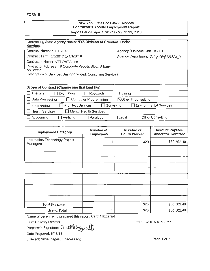#### New York State Consultant Services Contractor's Annual Employment Report Report Period: April 1, 2017 to March 31, 2018

| Contracting State Agency Name: NYS Division of Criminal Justice<br><b>Services</b> |                             |                               |                               |
|------------------------------------------------------------------------------------|-----------------------------|-------------------------------|-------------------------------|
| Contract Number: T017073                                                           |                             | Agency Business Unit: DCJ01   |                               |
| Contract Term: 8/3/2017 to 1/1/2018                                                |                             | Agency Department ID: ソンタンのひつ |                               |
| Contractor Name: NTT DATA, Inc.                                                    |                             |                               |                               |
| Contractor Address: 18 Corporate Woods Blvd., Albany,                              |                             |                               |                               |
| NY 12211<br>Description of Services Being Provided: Consulting Services            |                             |                               |                               |
|                                                                                    |                             |                               |                               |
|                                                                                    |                             |                               |                               |
| Scope of Contract (Choose one that best fits):                                     |                             |                               |                               |
| T Evaluation<br>Analysis                                                           | 1 Research                  | Training                      |                               |
| Data Processing                                                                    | <b>Computer Programming</b> | ⊠Other IT consulting          |                               |
| Architect Services<br>Engineering                                                  | Surveying                   |                               | <b>Environmental Services</b> |
| <b>Health Services</b><br>$\Box$                                                   | Mental Health Services      |                               |                               |
| Accounting<br>Auditing                                                             | Paralegal                   | $\square$ Legal               | Other Consulting              |
|                                                                                    |                             |                               |                               |
| <b>Employment Category</b>                                                         | Number of                   | Number of                     | <b>Amount Payable</b>         |
|                                                                                    | <b>Employees</b>            | <b>Hours Worked</b>           | <b>Under the Contract</b>     |
| Information Technology Project<br>Managers                                         | 1                           | 320                           | \$30,502.40                   |
|                                                                                    |                             |                               |                               |
|                                                                                    |                             |                               |                               |
|                                                                                    |                             |                               |                               |
|                                                                                    |                             |                               |                               |
|                                                                                    |                             |                               |                               |
|                                                                                    |                             |                               |                               |
|                                                                                    |                             |                               |                               |
|                                                                                    |                             |                               |                               |
|                                                                                    |                             |                               |                               |
|                                                                                    |                             |                               |                               |
| Total this page                                                                    | 1                           | 320                           | \$30,502.40                   |

Name of person who prepared this report: Carol Fitzgerald

Title: Delivery Director<br>Preparer's Signature: Co.*N*OUtUT<sub>S</sub> & LG

Date Prepared: 5/15/18

(Use additional pages, if necessary)

Phone#: 518-815-2057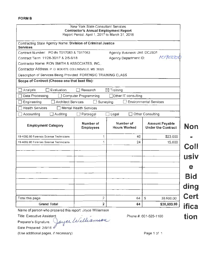|                                                                                | New York State Consultant Services<br><b>Contractor's Annual Employment Report</b><br>Report Period: April 1, 2017 to March 31, 2018 |                                  |                                                    |
|--------------------------------------------------------------------------------|--------------------------------------------------------------------------------------------------------------------------------------|----------------------------------|----------------------------------------------------|
| Contracting State Agency Name: Division of Criminal Justice<br><b>Services</b> |                                                                                                                                      |                                  |                                                    |
| Contract Number: PO #s T017083 & T017063                                       |                                                                                                                                      | Agency Business Unit: DCJS01     |                                                    |
| Contract Term: 11/28-30/17 & 2/5-9/18                                          |                                                                                                                                      | Agency Department ID:            | 1090000                                            |
| Contractor Name: RON SMITH & ASSOCIATES, INC,.                                 |                                                                                                                                      |                                  |                                                    |
| Contractor Address: P. O. BOX 670, COLLINSVILLE, MS 39325                      |                                                                                                                                      |                                  |                                                    |
| Description of Services Being Provided: FORENSIC TRAINING CLASS                |                                                                                                                                      |                                  |                                                    |
| Scope of Contract (Choose one that best fits):                                 |                                                                                                                                      |                                  |                                                    |
| Evaluation<br>Analysis                                                         | Research                                                                                                                             | $\boxtimes$ Training             |                                                    |
| Data Processing                                                                | Computer Programming                                                                                                                 | Other IT consulting              |                                                    |
| <b>Architect Services</b><br>Engineering                                       | Surveying                                                                                                                            |                                  | <b>Environmental Services</b>                      |
| <b>Health Services</b>                                                         | <b>Mental Health Services</b>                                                                                                        |                                  |                                                    |
| Auditing<br>Accounting                                                         | Paralegal                                                                                                                            | Legal                            | <b>Other Consulting</b>                            |
| <b>Employment Category</b>                                                     | Number of<br><b>Employees</b>                                                                                                        | Number of<br><b>Hours Worked</b> | <b>Amount Payable</b><br><b>Under the Contract</b> |
| 19-4092.00 Forensic Science Technicians                                        | 1                                                                                                                                    | 40                               | \$23,000                                           |
| 19-4092.00 Forensic Science Technicians                                        | 1                                                                                                                                    | 24                               | 15,600                                             |
|                                                                                |                                                                                                                                      |                                  |                                                    |
|                                                                                |                                                                                                                                      |                                  |                                                    |
|                                                                                |                                                                                                                                      |                                  |                                                    |
|                                                                                |                                                                                                                                      |                                  |                                                    |
|                                                                                |                                                                                                                                      |                                  |                                                    |
|                                                                                |                                                                                                                                      |                                  |                                                    |
|                                                                                |                                                                                                                                      |                                  |                                                    |
|                                                                                |                                                                                                                                      |                                  |                                                    |
|                                                                                |                                                                                                                                      |                                  |                                                    |
| Total this page                                                                | 2                                                                                                                                    | 64                               | \$<br>38,600.00                                    |

Name of person who prepared this report: Joyce Williamson syce Wil report: Joyce Williamson<br>Welleamsen

*d* 

Title: Executive Assistant

Preparer's Signature. r

Date Prepared: 2/9/18

(Use additional pages, if necessary)

Phone#: 601-626-1100

**Non**  - **Coll**  • **USIV e Bid ding Cert ifica ti on**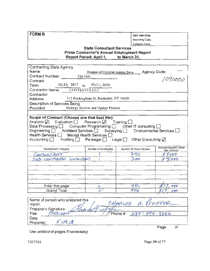| <b>FORM B</b>                                                                    |                                               |                                             |                                      |
|----------------------------------------------------------------------------------|-----------------------------------------------|---------------------------------------------|--------------------------------------|
|                                                                                  |                                               | OSC Use Only:                               |                                      |
|                                                                                  |                                               | Reporting Code:                             |                                      |
|                                                                                  |                                               | Category Code:                              |                                      |
|                                                                                  | <b>State Consultant Services</b>              |                                             |                                      |
|                                                                                  |                                               | Prime Contractor's Annual Employment Report |                                      |
|                                                                                  | Report Period: April 1,                       | to March 31,                                |                                      |
|                                                                                  |                                               |                                             |                                      |
| Contracting State Agency                                                         |                                               |                                             |                                      |
| Name:                                                                            | Division of Criminal Justice Svcs             |                                             | Agency Code:                         |
| Contract Number: T017101                                                         |                                               |                                             |                                      |
| Contract                                                                         |                                               |                                             | 1090000                              |
| $10/24/2017$ to<br>Term: Term                                                    | 03/31/2018                                    |                                             |                                      |
| CONTEXTUS LLC<br>Contractor Name:                                                |                                               |                                             |                                      |
| Contractor                                                                       |                                               |                                             |                                      |
| Address:                                                                         | 315 Rockingham St. Rochester, NY 14620        |                                             |                                      |
| Description of Services Being                                                    |                                               |                                             |                                      |
| Provided:                                                                        | Strategy Review and Update Process            |                                             |                                      |
|                                                                                  |                                               |                                             |                                      |
| Scope of Contract (Choose one that best fits):                                   |                                               |                                             |                                      |
| Analysis $\sqrt{ }$ Evaluation Research $\sqrt{ }$ Training [                    |                                               |                                             |                                      |
| Data Processing $\Box$ Computer Programming $\Box$ Other IT consulting $\Box$    |                                               |                                             |                                      |
| Engineering <b>Fig. 4</b> Architect Services <b>Fig. 1</b> Surveying <b>Fig.</b> |                                               |                                             | Environmental Services [             |
| Health Services $\Box$                                                           | Mental Health Services                        |                                             |                                      |
| Accounting                                                                       | Auditing $\Box$ Paralegal $\Box$ Legal $\Box$ | Other Consulting $\sqrt{}$                  |                                      |
|                                                                                  |                                               |                                             |                                      |
| <b>Employment Category</b>                                                       | Number of Employees                           | Number of Hours Worked                      | Amount Payable Under<br>the Contract |
| CONSULTANT                                                                       |                                               |                                             | $b\overline{b}$                      |
| SUB-CONTRACTOR CONSULTANT                                                        |                                               |                                             | 000                                  |
|                                                                                  |                                               |                                             |                                      |
|                                                                                  |                                               |                                             |                                      |
|                                                                                  |                                               |                                             |                                      |
|                                                                                  |                                               |                                             |                                      |
|                                                                                  |                                               |                                             |                                      |
| Total this page                                                                  |                                               | 440                                         | 000                                  |
| <b>Grand Total</b>                                                               |                                               | 440                                         | $\sigma v$                           |
|                                                                                  |                                               |                                             |                                      |
| Name of person who prepared this                                                 |                                               |                                             |                                      |
| A. PFEFFER<br>CHARLES<br>report:                                                 |                                               |                                             |                                      |
| Preparer's Signature:                                                            |                                               |                                             |                                      |
| RESIDENT<br>Title:<br>Phone# $585 - 295 - 8546$                                  |                                               |                                             |                                      |
| Date                                                                             |                                               |                                             |                                      |
| 5114118                                                                          |                                               |                                             |                                      |
| Prepared:                                                                        |                                               |                                             |                                      |

Use additional pages if necessary)

 $\overline{of}$ Page

T017101

Page 39 of 77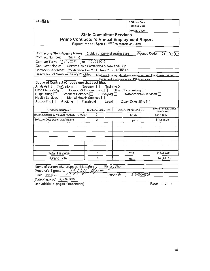OSC Use Only:

Reporting Code:

Category Code:

# **State Consultant Services** Prime Contractor's Annual Employment Report<br>Report Period: April 1, 2017 to March 31, 2018

| Contracting State Agency Name:                                                                                                                                                                                                                                                     | Division of Criminal Justice Svcs                                                                |                                                                                  | Agency Code: 090000                  |  |  |
|------------------------------------------------------------------------------------------------------------------------------------------------------------------------------------------------------------------------------------------------------------------------------------|--------------------------------------------------------------------------------------------------|----------------------------------------------------------------------------------|--------------------------------------|--|--|
| Contract Number:<br>T017116                                                                                                                                                                                                                                                        |                                                                                                  |                                                                                  |                                      |  |  |
| Contract Term: 11/1/2017<br>to                                                                                                                                                                                                                                                     | 10/31/2018                                                                                       |                                                                                  |                                      |  |  |
|                                                                                                                                                                                                                                                                                    | Contractor Name: Citizens Crime Commission of New York City                                      |                                                                                  |                                      |  |  |
|                                                                                                                                                                                                                                                                                    | Contractor Address: 335 Madison Ave, 9th Fl, New York, NY 10017                                  |                                                                                  |                                      |  |  |
|                                                                                                                                                                                                                                                                                    | Description of Services Being Provided: Database hosting, database management, Database training |                                                                                  |                                      |  |  |
|                                                                                                                                                                                                                                                                                    | and technical assistance for SNUG program                                                        |                                                                                  |                                      |  |  |
| Scope of Contract (Choose one that best fits):<br>Analysis □ Evaluation □<br>Data Processing $\Box$ Computer Programming $\Box$ Other IT consulting $\Box$<br>Engineering D Architect Services D Surveying D<br>Health Services   Mental Health Services  <br>Accounting $\square$ | Research $\Box$ Training $\boxtimes$                                                             | Environmental Services $\Box$<br>Auditing   Paralegal   Legal   Other Consulting |                                      |  |  |
| <b>Employment Category</b>                                                                                                                                                                                                                                                         | Number of Employees                                                                              | Number of Hours Worked                                                           | Amount Payable Under<br>the Contract |  |  |
| Bocial Scientists & Related Workers. All other                                                                                                                                                                                                                                     | $\mathbf{2}$                                                                                     | 87.75                                                                            | \$34,116.50                          |  |  |
| Software Developers, Applications                                                                                                                                                                                                                                                  | 2                                                                                                | 94.75                                                                            | \$11,843.75                          |  |  |
|                                                                                                                                                                                                                                                                                    |                                                                                                  |                                                                                  |                                      |  |  |
| Total this page                                                                                                                                                                                                                                                                    | 4                                                                                                | 182.5                                                                            | \$45,960.25                          |  |  |
| Grand Total                                                                                                                                                                                                                                                                        | 4                                                                                                | 182.5                                                                            | \$45,960.25                          |  |  |
| Name of person who prepared this report: $\lambda$                                                                                                                                                                                                                                 |                                                                                                  | <b>Richard Aborn</b>                                                             |                                      |  |  |

| $\mid$ Name of person who prepared this report; $\hspace{-.15cm}\cdot\hspace{-.15cm}\cdot\hspace{-.15cm}$ | KIChard Aborn |              |  |
|-----------------------------------------------------------------------------------------------------------|---------------|--------------|--|
| Preparer's Signature:                                                                                     |               |              |  |
| Title:<br>President                                                                                       | Phone #:      | 212-608-4700 |  |
| Date Prepared: 5, 114/2018                                                                                |               |              |  |
|                                                                                                           |               |              |  |

Use additional pages if necessary)